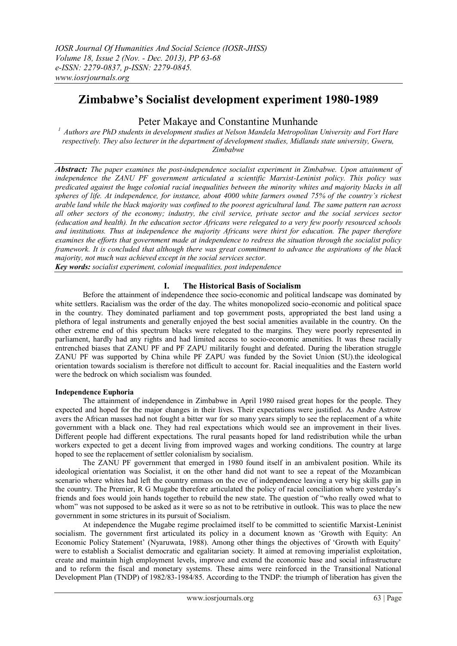# **Zimbabwe's Socialist development experiment 1980-1989**

# Peter Makaye and Constantine Munhande

*<sup>1</sup> Authors are PhD students in development studies at Nelson Mandela Metropolitan University and Fort Hare respectively. They also lecturer in the department of development studies, Midlands state university, Gweru, Zimbabwe*

*Abstract: The paper examines the post-independence socialist experiment in Zimbabwe. Upon attainment of independence the ZANU PF government articulated a scientific Marxist-Leninist policy. This policy was predicated against the huge colonial racial inequalities between the minority whites and majority blacks in all spheres of life. At independence, for instance, about 4000 white farmers owned 75% of the country's richest arable land while the black majority was confined to the poorest agricultural land. The same pattern ran across all other sectors of the economy; industry, the civil service, private sector and the social services sector (education and health). In the education sector Africans were relegated to a very few poorly resourced schools and institutions. Thus at independence the majority Africans were thirst for education. The paper therefore examines the efforts that government made at independence to redress the situation through the socialist policy framework. It is concluded that although there was great commitment to advance the aspirations of the black majority, not much was achieved except in the social services sector.* 

*Key words: socialist experiment, colonial inequalities, post independence*

## **I. The Historical Basis of Socialism**

Before the attainment of independence thee socio-economic and political landscape was dominated by white settlers. Racialism was the order of the day. The whites monopolized socio-economic and political space in the country. They dominated parliament and top government posts, appropriated the best land using a plethora of legal instruments and generally enjoyed the best social amenities available in the country. On the other extreme end of this spectrum blacks were relegated to the margins. They were poorly represented in parliament, hardly had any rights and had limited access to socio-economic amenities. It was these racially entrenched biases that ZANU PF and PF ZAPU militarily fought and defeated. During the liberation struggle ZANU PF was supported by China while PF ZAPU was funded by the Soviet Union (SU).the ideological orientation towards socialism is therefore not difficult to account for. Racial inequalities and the Eastern world were the bedrock on which socialism was founded.

## **Independence Euphoria**

The attainment of independence in Zimbabwe in April 1980 raised great hopes for the people. They expected and hoped for the major changes in their lives. Their expectations were justified. As Andre Astrow avers the African masses had not fought a bitter war for so many years simply to see the replacement of a white government with a black one. They had real expectations which would see an improvement in their lives. Different people had different expectations. The rural peasants hoped for land redistribution while the urban workers expected to get a decent living from improved wages and working conditions. The country at large hoped to see the replacement of settler colonialism by socialism.

The ZANU PF government that emerged in 1980 found itself in an ambivalent position. While its ideological orientation was Socialist, it on the other hand did not want to see a repeat of the Mozambican scenario where whites had left the country enmass on the eve of independence leaving a very big skills gap in the country. The Premier, R G Mugabe therefore articulated the policy of racial conciliation where yesterday"s friends and foes would join hands together to rebuild the new state. The question of "who really owed what to whom" was not supposed to be asked as it were so as not to be retributive in outlook. This was to place the new government in some strictures in its pursuit of Socialism.

At independence the Mugabe regime proclaimed itself to be committed to scientific Marxist-Leninist socialism. The government first articulated its policy in a document known as "Growth with Equity: An Economic Policy Statement" (Nyaruwata, 1988). Among other things the objectives of "Growth with Equity" were to establish a Socialist democratic and egalitarian society. It aimed at removing imperialist exploitation, create and maintain high employment levels, improve and extend the economic base and social infrastructure and to reform the fiscal and monetary systems. These aims were reinforced in the Transitional National Development Plan (TNDP) of 1982/83-1984/85. According to the TNDP: the triumph of liberation has given the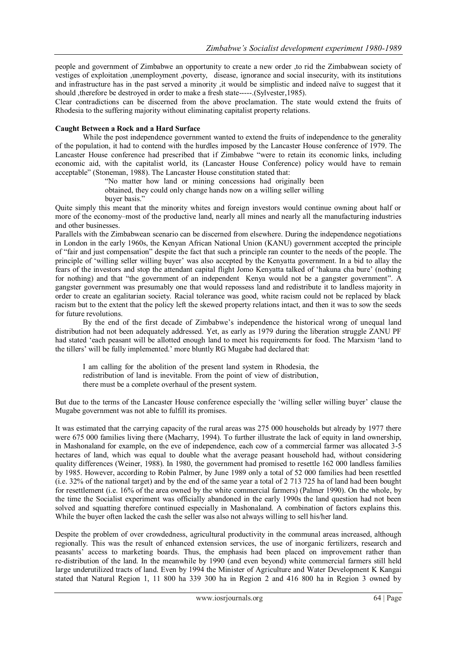people and government of Zimbabwe an opportunity to create a new order ,to rid the Zimbabwean society of vestiges of exploitation ,unemployment ,poverty, disease, ignorance and social insecurity, with its institutions and infrastructure has in the past served a minority ,it would be simplistic and indeed naïve to suggest that it should ,therefore be destroyed in order to make a fresh state-----.(Sylvester,1985).

Clear contradictions can be discerned from the above proclamation. The state would extend the fruits of Rhodesia to the suffering majority without eliminating capitalist property relations.

#### **Caught Between a Rock and a Hard Surface**

While the post independence government wanted to extend the fruits of independence to the generality of the population, it had to contend with the hurdles imposed by the Lancaster House conference of 1979. The Lancaster House conference had prescribed that if Zimbabwe "were to retain its economic links, including economic aid, with the capitalist world, its (Lancaster House Conference) policy would have to remain acceptable" (Stoneman, 1988). The Lancaster House constitution stated that:

"No matter how land or mining concessions had originally been obtained, they could only change hands now on a willing seller willing buyer basis."

Quite simply this meant that the minority whites and foreign investors would continue owning about half or more of the economy–most of the productive land, nearly all mines and nearly all the manufacturing industries and other businesses.

Parallels with the Zimbabwean scenario can be discerned from elsewhere. During the independence negotiations in London in the early 1960s, the Kenyan African National Union (KANU) government accepted the principle of "fair and just compensation" despite the fact that such a principle ran counter to the needs of the people. The principle of "willing seller willing buyer" was also accepted by the Kenyatta government. In a bid to allay the fears of the investors and stop the attendant capital flight Jomo Kenyatta talked of "hakuna cha bure" (nothing for nothing) and that "the government of an independent Kenya would not be a gangster government". A gangster government was presumably one that would repossess land and redistribute it to landless majority in order to create an egalitarian society. Racial tolerance was good, white racism could not be replaced by black racism but to the extent that the policy left the skewed property relations intact, and then it was to sow the seeds for future revolutions.

By the end of the first decade of Zimbabwe"s independence the historical wrong of unequal land distribution had not been adequately addressed. Yet, as early as 1979 during the liberation struggle ZANU PF had stated "each peasant will be allotted enough land to meet his requirements for food. The Marxism "land to the tillers" will be fully implemented." more bluntly RG Mugabe had declared that:

I am calling for the abolition of the present land system in Rhodesia, the redistribution of land is inevitable. From the point of view of distribution, there must be a complete overhaul of the present system.

But due to the terms of the Lancaster House conference especially the 'willing seller willing buyer' clause the Mugabe government was not able to fulfill its promises.

It was estimated that the carrying capacity of the rural areas was 275 000 households but already by 1977 there were 675 000 families living there (Macharry, 1994). To further illustrate the lack of equity in land ownership, in Mashonaland for example, on the eve of independence, each cow of a commercial farmer was allocated 3-5 hectares of land, which was equal to double what the average peasant household had, without considering quality differences (Weiner, 1988). In 1980, the government had promised to resettle 162 000 landless families by 1985. However, according to Robin Palmer, by June 1989 only a total of 52 000 families had been resettled (i.e. 32% of the national target) and by the end of the same year a total of 2 713 725 ha of land had been bought for resettlement (i.e. 16% of the area owned by the white commercial farmers) (Palmer 1990). On the whole, by the time the Socialist experiment was officially abandoned in the early 1990s the land question had not been solved and squatting therefore continued especially in Mashonaland. A combination of factors explains this. While the buyer often lacked the cash the seller was also not always willing to sell his/her land.

Despite the problem of over crowdedness, agricultural productivity in the communal areas increased, although regionally. This was the result of enhanced extension services, the use of inorganic fertilizers, research and peasants" access to marketing boards. Thus, the emphasis had been placed on improvement rather than re-distribution of the land. In the meanwhile by 1990 (and even beyond) white commercial farmers still held large underutilized tracts of land. Even by 1994 the Minister of Agriculture and Water Development K Kangai stated that Natural Region 1, 11 800 ha 339 300 ha in Region 2 and 416 800 ha in Region 3 owned by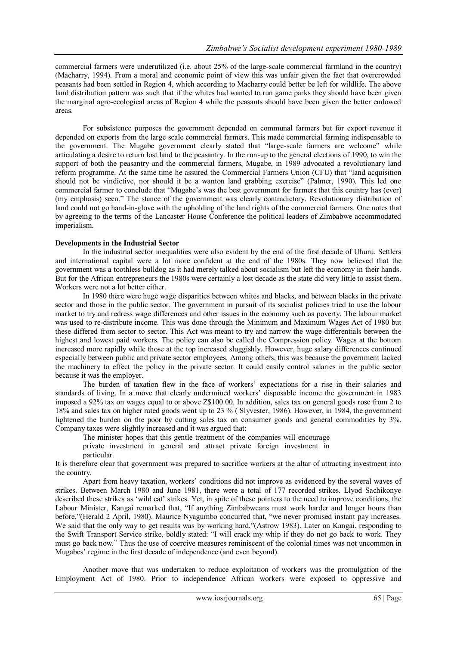commercial farmers were underutilized (i.e. about 25% of the large-scale commercial farmland in the country) (Macharry, 1994). From a moral and economic point of view this was unfair given the fact that overcrowded peasants had been settled in Region 4, which according to Macharry could better be left for wildlife. The above land distribution pattern was such that if the whites had wanted to run game parks they should have been given the marginal agro-ecological areas of Region 4 while the peasants should have been given the better endowed areas.

For subsistence purposes the government depended on communal farmers but for export revenue it depended on exports from the large scale commercial farmers. This made commercial farming indispensable to the government. The Mugabe government clearly stated that "large-scale farmers are welcome" while articulating a desire to return lost land to the peasantry. In the run-up to the general elections of 1990, to win the support of both the peasantry and the commercial farmers, Mugabe, in 1989 advocated a revolutionary land reform programme. At the same time he assured the Commercial Farmers Union (CFU) that "land acquisition should not be vindictive, nor should it be a wanton land grabbing exercise" (Palmer, 1990). This led one commercial farmer to conclude that "Mugabe's was the best government for farmers that this country has (ever) (my emphasis) seen." The stance of the government was clearly contradictory. Revolutionary distribution of land could not go hand-in-glove with the upholding of the land rights of the commercial farmers. One notes that by agreeing to the terms of the Lancaster House Conference the political leaders of Zimbabwe accommodated imperialism.

#### **Developments in the Industrial Sector**

In the industrial sector inequalities were also evident by the end of the first decade of Uhuru. Settlers and international capital were a lot more confident at the end of the 1980s. They now believed that the government was a toothless bulldog as it had merely talked about socialism but left the economy in their hands. But for the African entrepreneurs the 1980s were certainly a lost decade as the state did very little to assist them. Workers were not a lot better either.

In 1980 there were huge wage disparities between whites and blacks, and between blacks in the private sector and those in the public sector. The government in pursuit of its socialist policies tried to use the labour market to try and redress wage differences and other issues in the economy such as poverty. The labour market was used to re-distribute income. This was done through the Minimum and Maximum Wages Act of 1980 but these differed from sector to sector. This Act was meant to try and narrow the wage differentials between the highest and lowest paid workers. The policy can also be called the Compression policy. Wages at the bottom increased more rapidly while those at the top increased sluggishly. However, huge salary differences continued especially between public and private sector employees. Among others, this was because the government lacked the machinery to effect the policy in the private sector. It could easily control salaries in the public sector because it was the employer.

The burden of taxation flew in the face of workers' expectations for a rise in their salaries and standards of living. In a move that clearly undermined workers' disposable income the government in 1983 imposed a 92% tax on wages equal to or above Z\$100.00. In addition, sales tax on general goods rose from 2 to 18% and sales tax on higher rated goods went up to 23 % ( Slyvester, 1986). However, in 1984, the government lightened the burden on the poor by cutting sales tax on consumer goods and general commodities by 3%. Company taxes were slightly increased and it was argued that:

The minister hopes that this gentle treatment of the companies will encourage private investment in general and attract private foreign investment in particular.

It is therefore clear that government was prepared to sacrifice workers at the altar of attracting investment into the country.

Apart from heavy taxation, workers" conditions did not improve as evidenced by the several waves of strikes. Between March 1980 and June 1981, there were a total of 177 recorded strikes. Llyod Sachikonye described these strikes as 'wild cat' strikes. Yet, in spite of these pointers to the need to improve conditions, the Labour Minister, Kangai remarked that, "If anything Zimbabweans must work harder and longer hours than before."(Herald 2 April, 1980). Maurice Nyagumbo concurred that, "we never promised instant pay increases. We said that the only way to get results was by working hard."(Astrow 1983). Later on Kangai, responding to the Swift Transport Service strike, boldly stated: "I will crack my whip if they do not go back to work. They must go back now." Thus the use of coercive measures reminiscent of the colonial times was not uncommon in Mugabes' regime in the first decade of independence (and even beyond).

Another move that was undertaken to reduce exploitation of workers was the promulgation of the Employment Act of 1980. Prior to independence African workers were exposed to oppressive and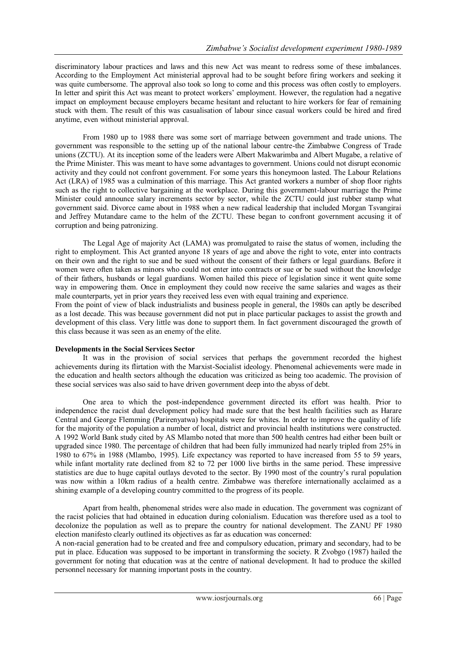discriminatory labour practices and laws and this new Act was meant to redress some of these imbalances. According to the Employment Act ministerial approval had to be sought before firing workers and seeking it was quite cumbersome. The approval also took so long to come and this process was often costly to employers. In letter and spirit this Act was meant to protect workers" employment. However, the regulation had a negative impact on employment because employers became hesitant and reluctant to hire workers for fear of remaining stuck with them. The result of this was casualisation of labour since casual workers could be hired and fired anytime, even without ministerial approval.

From 1980 up to 1988 there was some sort of marriage between government and trade unions. The government was responsible to the setting up of the national labour centre-the Zimbabwe Congress of Trade unions (ZCTU). At its inception some of the leaders were Albert Makwarimba and Albert Mugabe, a relative of the Prime Minister. This was meant to have some advantages to government. Unions could not disrupt economic activity and they could not confront government. For some years this honeymoon lasted. The Labour Relations Act (LRA) of 1985 was a culmination of this marriage. This Act granted workers a number of shop floor rights such as the right to collective bargaining at the workplace. During this government-labour marriage the Prime Minister could announce salary increments sector by sector, while the ZCTU could just rubber stamp what government said. Divorce came about in 1988 when a new radical leadership that included Morgan Tsvangirai and Jeffrey Mutandare came to the helm of the ZCTU. These began to confront government accusing it of corruption and being patronizing.

The Legal Age of majority Act (LAMA) was promulgated to raise the status of women, including the right to employment. This Act granted anyone 18 years of age and above the right to vote, enter into contracts on their own and the right to sue and be sued without the consent of their fathers or legal guardians. Before it women were often taken as minors who could not enter into contracts or sue or be sued without the knowledge of their fathers, husbands or legal guardians. Women hailed this piece of legislation since it went quite some way in empowering them. Once in employment they could now receive the same salaries and wages as their male counterparts, yet in prior years they received less even with equal training and experience.

From the point of view of black industrialists and business people in general, the 1980s can aptly be described as a lost decade. This was because government did not put in place particular packages to assist the growth and development of this class. Very little was done to support them. In fact government discouraged the growth of this class because it was seen as an enemy of the elite.

#### **Developments in the Social Services Sector**

It was in the provision of social services that perhaps the government recorded the highest achievements during its flirtation with the Marxist-Socialist ideology. Phenomenal achievements were made in the education and health sectors although the education was criticized as being too academic. The provision of these social services was also said to have driven government deep into the abyss of debt.

One area to which the post-independence government directed its effort was health. Prior to independence the racist dual development policy had made sure that the best health facilities such as Harare Central and George Flemming (Parirenyatwa) hospitals were for whites. In order to improve the quality of life for the majority of the population a number of local, district and provincial health institutions were constructed. A 1992 World Bank study cited by AS Mlambo noted that more than 500 health centres had either been built or upgraded since 1980. The percentage of children that had been fully immunized had nearly tripled from 25% in 1980 to 67% in 1988 (Mlambo, 1995). Life expectancy was reported to have increased from 55 to 59 years, while infant mortality rate declined from 82 to 72 per 1000 live births in the same period. These impressive statistics are due to huge capital outlays devoted to the sector. By 1990 most of the country"s rural population was now within a 10km radius of a health centre. Zimbabwe was therefore internationally acclaimed as a shining example of a developing country committed to the progress of its people.

Apart from health, phenomenal strides were also made in education. The government was cognizant of the racist policies that had obtained in education during colonialism. Education was therefore used as a tool to decolonize the population as well as to prepare the country for national development. The ZANU PF 1980 election manifesto clearly outlined its objectives as far as education was concerned:

A non-racial generation had to be created and free and compulsory education, primary and secondary, had to be put in place. Education was supposed to be important in transforming the society. R Zvobgo (1987) hailed the government for noting that education was at the centre of national development. It had to produce the skilled personnel necessary for manning important posts in the country.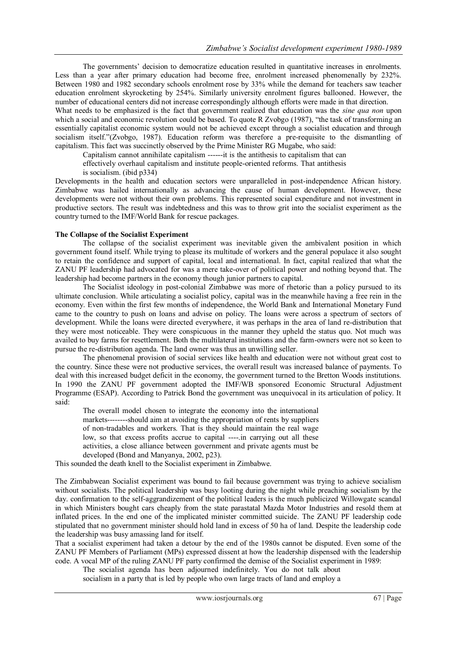The governments" decision to democratize education resulted in quantitative increases in enrolments. Less than a year after primary education had become free, enrolment increased phenomenally by 232%. Between 1980 and 1982 secondary schools enrolment rose by 33% while the demand for teachers saw teacher education enrolment skyrocketing by 254%. Similarly university enrolment figures ballooned. However, the number of educational centers did not increase correspondingly although efforts were made in that direction.

What needs to be emphasized is the fact that government realized that education was the *sine qua non* upon which a social and economic revolution could be based. To quote R Zvobgo (1987), "the task of transforming an essentially capitalist economic system would not be achieved except through a socialist education and through socialism itself."(Zvobgo, 1987). Education reform was therefore a pre-requisite to the dismantling of capitalism. This fact was succinctly observed by the Prime Minister RG Mugabe, who said:

Capitalism cannot annihilate capitalism ------it is the antithesis to capitalism that can

effectively overhaul capitalism and institute people-oriented reforms. That antithesis

is socialism. (ibid p334)

Developments in the health and education sectors were unparalleled in post-independence African history. Zimbabwe was hailed internationally as advancing the cause of human development. However, these developments were not without their own problems. This represented social expenditure and not investment in productive sectors. The result was indebtedness and this was to throw grit into the socialist experiment as the country turned to the IMF/World Bank for rescue packages.

#### **The Collapse of the Socialist Experiment**

The collapse of the socialist experiment was inevitable given the ambivalent position in which government found itself. While trying to please its multitude of workers and the general populace it also sought to retain the confidence and support of capital, local and international. In fact, capital realized that what the ZANU PF leadership had advocated for was a mere take-over of political power and nothing beyond that. The leadership had become partners in the economy though junior partners to capital.

The Socialist ideology in post-colonial Zimbabwe was more of rhetoric than a policy pursued to its ultimate conclusion. While articulating a socialist policy, capital was in the meanwhile having a free rein in the economy. Even within the first few months of independence, the World Bank and International Monetary Fund came to the country to push on loans and advise on policy. The loans were across a spectrum of sectors of development. While the loans were directed everywhere, it was perhaps in the area of land re-distribution that they were most noticeable. They were conspicuous in the manner they upheld the status quo. Not much was availed to buy farms for resettlement. Both the multilateral institutions and the farm-owners were not so keen to pursue the re-distribution agenda. The land owner was thus an unwilling seller.

The phenomenal provision of social services like health and education were not without great cost to the country. Since these were not productive services, the overall result was increased balance of payments. To deal with this increased budget deficit in the economy, the government turned to the Bretton Woods institutions. In 1990 the ZANU PF government adopted the IMF/WB sponsored Economic Structural Adjustment Programme (ESAP). According to Patrick Bond the government was unequivocal in its articulation of policy. It said:

The overall model chosen to integrate the economy into the international markets--------should aim at avoiding the appropriation of rents by suppliers of non-tradables and workers. That is they should maintain the real wage low, so that excess profits accrue to capital -----.in carrying out all these activities, a close alliance between government and private agents must be developed (Bond and Manyanya, 2002, p23).

This sounded the death knell to the Socialist experiment in Zimbabwe.

The Zimbabwean Socialist experiment was bound to fail because government was trying to achieve socialism without socialists. The political leadership was busy looting during the night while preaching socialism by the day. confirmation to the self-aggrandizement of the political leaders is the much publicized Willowgate scandal in which Ministers bought cars cheaply from the state parastatal Mazda Motor Industries and resold them at inflated prices. In the end one of the implicated minister committed suicide. The ZANU PF leadership code stipulated that no government minister should hold land in excess of 50 ha of land. Despite the leadership code the leadership was busy amassing land for itself.

That a socialist experiment had taken a detour by the end of the 1980s cannot be disputed. Even some of the ZANU PF Members of Parliament (MPs) expressed dissent at how the leadership dispensed with the leadership code. A vocal MP of the ruling ZANU PF party confirmed the demise of the Socialist experiment in 1989:

The socialist agenda has been adjourned indefinitely. You do not talk about socialism in a party that is led by people who own large tracts of land and employ a